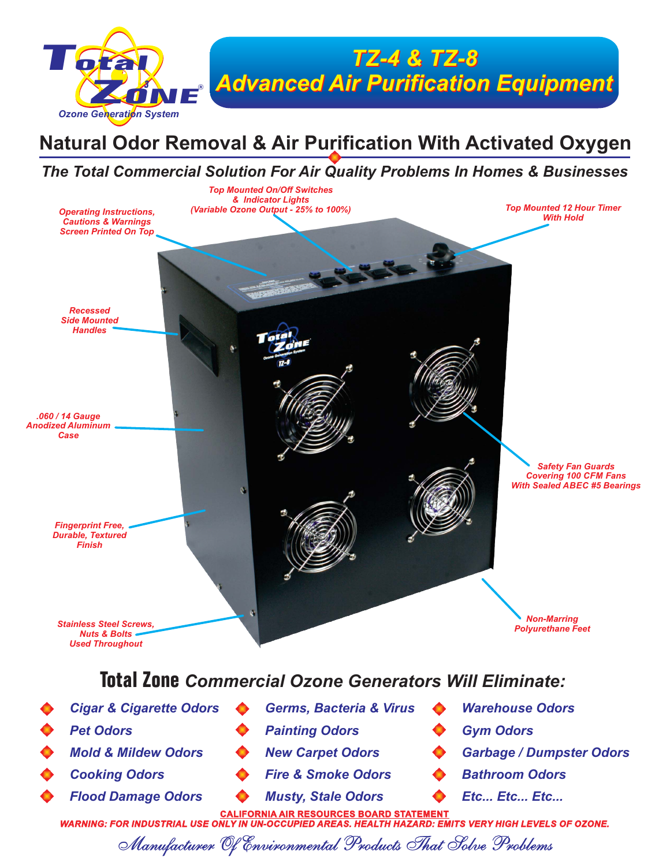

## **Natural Odor Removal & Air Purification With Activated Oxygen**

### *The Total Commercial Solution For Air Quality Problems In Homes & Businesses*



WARNING: FOR INDUSTRIAL USE ONLY IN UN-OCCUPIED AREAS. HEALTH HAZARD: EMITS VERY HIGH LEVELS OF OZONE.

Manufacturer Of Environmental Products That Solve Problems